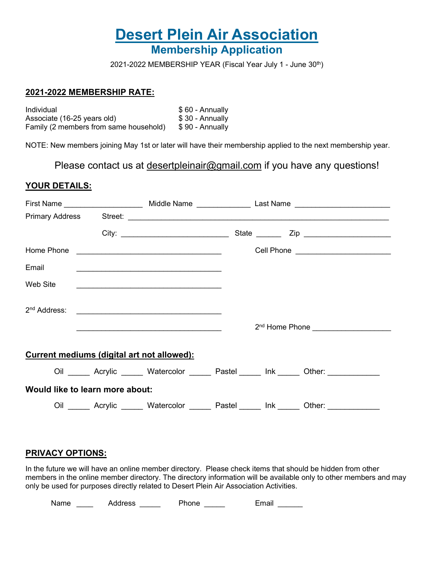# **Desert Plein Air Association Membership Application**

2021-2022 MEMBERSHIP YEAR (Fiscal Year July 1 - June 30th)

#### **2021-2022 MEMBERSHIP RATE:**

Individual \$ 60 - Annually Associate (16-25 years old) \$ 30 - Annually Family (2 members from same household) \$90 - Annually

NOTE: New members joining May 1st or later will have their membership applied to the next membership year.

Please contact us at desertpleinair@gmail.com if you have any questions!

#### **YOUR DETAILS:**

|                                                   |  |                                                                                                                       |  |  | Cell Phone __________________________    |  |  |  |  |
|---------------------------------------------------|--|-----------------------------------------------------------------------------------------------------------------------|--|--|------------------------------------------|--|--|--|--|
| Email                                             |  |                                                                                                                       |  |  |                                          |  |  |  |  |
| Web Site                                          |  |                                                                                                                       |  |  |                                          |  |  |  |  |
| 2 <sup>nd</sup> Address:                          |  |                                                                                                                       |  |  |                                          |  |  |  |  |
|                                                   |  | <u> 1989 - Johann Barbara, martin amerikan basal dan berasal dalam basal dalam basal dalam basal dalam basal dala</u> |  |  |                                          |  |  |  |  |
| <b>Current mediums (digital art not allowed):</b> |  |                                                                                                                       |  |  |                                          |  |  |  |  |
|                                                   |  |                                                                                                                       |  |  | Oil Acrylic Matercolor Pastel Ink Other: |  |  |  |  |
| Would like to learn more about:                   |  |                                                                                                                       |  |  |                                          |  |  |  |  |
|                                                   |  |                                                                                                                       |  |  | Oil Acrylic Matercolor Pastel Ink Other: |  |  |  |  |

#### **PRIVACY OPTIONS:**

In the future we will have an online member directory. Please check items that should be hidden from other members in the online member directory. The directory information will be available only to other members and may only be used for purposes directly related to Desert Plein Air Association Activities.

Name \_\_\_\_ Address \_\_\_\_\_ Phone \_\_\_\_ Email \_\_\_\_\_